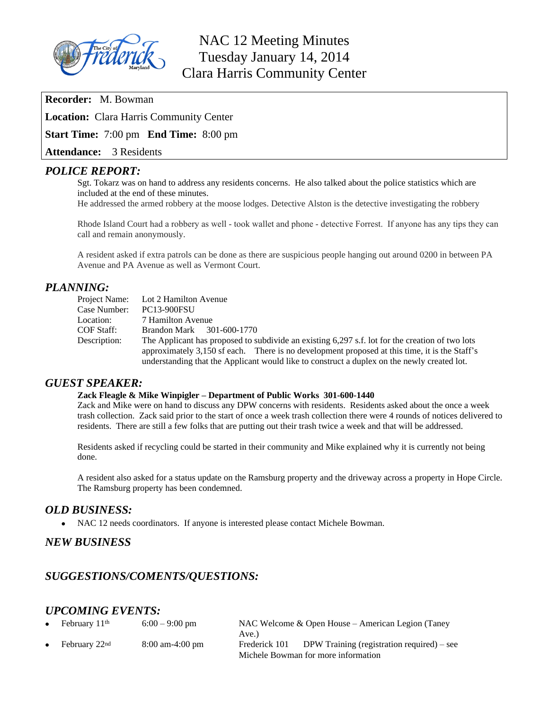

## NAC 12 Meeting Minutes Tuesday January 14, 2014 Clara Harris Community Center

**Recorder:** M. Bowman

**Location:** Clara Harris Community Center

**Start Time:** 7:00 pm **End Time:** 8:00 pm

**Attendance:** 3 Residents

#### *POLICE REPORT:*

Sgt. Tokarz was on hand to address any residents concerns. He also talked about the police statistics which are included at the end of these minutes.

He addressed the armed robbery at the moose lodges. Detective Alston is the detective investigating the robbery

Rhode Island Court had a robbery as well - took wallet and phone - detective Forrest. If anyone has any tips they can call and remain anonymously.

A resident asked if extra patrols can be done as there are suspicious people hanging out around 0200 in between PA Avenue and PA Avenue as well as Vermont Court.

## *PLANNING:*

|              | Project Name: Lot 2 Hamilton Avenue                                                             |
|--------------|-------------------------------------------------------------------------------------------------|
| Case Number: | <b>PC13-900FSU</b>                                                                              |
| Location:    | 7 Hamilton Avenue                                                                               |
| COF Staff:   | Brandon Mark 301-600-1770                                                                       |
| Description: | The Applicant has proposed to subdivide an existing 6,297 s.f. lot for the creation of two lots |
|              | approximately 3,150 sf each. There is no development proposed at this time, it is the Staff's   |
|              | understanding that the Applicant would like to construct a duplex on the newly created lot.     |

#### *GUEST SPEAKER:*

#### **Zack Fleagle & Mike Winpigler – Department of Public Works 301-600-1440**

Zack and Mike were on hand to discuss any DPW concerns with residents. Residents asked about the once a week trash collection. Zack said prior to the start of once a week trash collection there were 4 rounds of notices delivered to residents. There are still a few folks that are putting out their trash twice a week and that will be addressed.

Residents asked if recycling could be started in their community and Mike explained why it is currently not being done.

A resident also asked for a status update on the Ramsburg property and the driveway across a property in Hope Circle. The Ramsburg property has been condemned.

## *OLD BUSINESS:*

NAC 12 needs coordinators. If anyone is interested please contact Michele Bowman.

## *NEW BUSINESS*

## *SUGGESTIONS/COMENTS/QUESTIONS:*

## *UPCOMING EVENTS:*

| $\bullet$ | February 11 <sup>th</sup> | $6:00 - 9:00$ pm                  |               | NAC Welcome $\&$ Open House – American Legion (Taney) |
|-----------|---------------------------|-----------------------------------|---------------|-------------------------------------------------------|
|           |                           |                                   | Ave.)         |                                                       |
|           | February 22nd             | $8:00 \text{ am}-4:00 \text{ pm}$ | Frederick 101 | DPW Training (registration required) $-$ see          |
|           |                           |                                   |               | Michele Bowman for more information                   |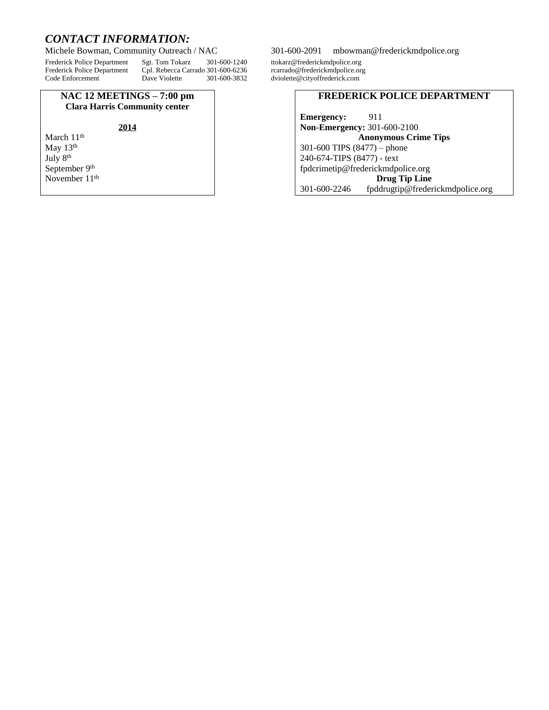# *CONTACT INFORMATION:*

Frederick Police Department Sgt. Tom Tokarz 301-600-1240 ttokarz@frederickmdpolice.org Frederick Police Department Cpl. Rebecca Carrado 301-600-6236<br>Code Enforcement Dave Violette. 301-600-3832

#### **NAC 12 MEETINGS – 7:00 pm Clara Harris Community center**

#### **2014**

March 11<sup>th</sup> May 13<sup>th</sup> July 8th September 9<sup>th</sup> November 11<sup>th</sup>

#### 301-600-2091 [mbowman@frederickmdpolice.org](mailto:mbowman@frederickmdpolice.org)

dviolette@cityoffrederick.com

#### **FREDERICK POLICE DEPARTMENT**

**Emergency:** 911 **Non-Emergency:** 301-600-2100 **Anonymous Crime Tips** 301-600 TIPS (8477) – phone 240-674-TIPS (8477) - text [fpdcrimetip@frederickmdpolice.org](mailto:fpdcrimetip@frederickmdpolice.org) **Drug Tip Line** 301-600-2246 fpddrugtip@frederickmdpolice.org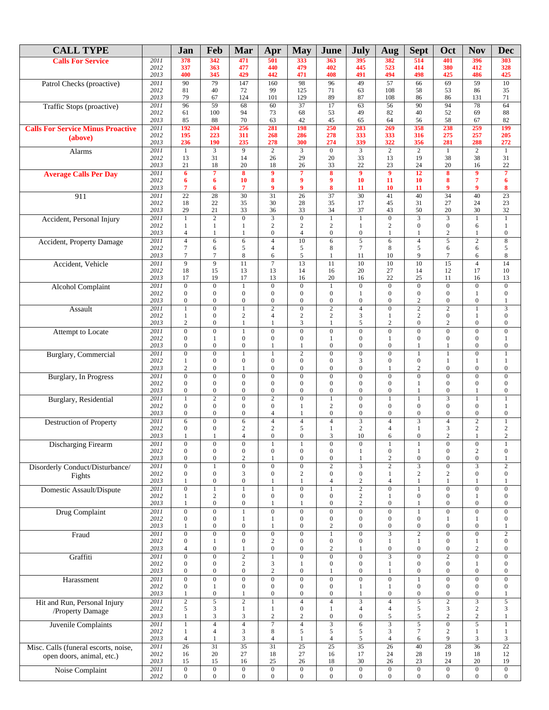| <b>CALL TYPE</b>                                 |              | Jan                                  | Feb                                  | Mar                                  | Apr                                  | <b>May</b>                               | June                                         | <b>July</b>                        | Aug                                | <b>Sept</b>                          | Oct                                  | <b>Nov</b>                         | <b>Dec</b>                           |
|--------------------------------------------------|--------------|--------------------------------------|--------------------------------------|--------------------------------------|--------------------------------------|------------------------------------------|----------------------------------------------|------------------------------------|------------------------------------|--------------------------------------|--------------------------------------|------------------------------------|--------------------------------------|
| <b>Calls For Service</b>                         | 2011         | 378                                  | 342                                  | 471                                  | 501                                  | 333                                      | 363                                          | 395                                | 382                                | 514                                  | 401                                  | 396                                | 303                                  |
|                                                  | 2012<br>2013 | 337<br>400                           | 363<br>345                           | 477<br>429                           | 440<br>442                           | 479<br>471                               | 402<br>408                                   | 445<br>491                         | 523<br>494                         | 414<br>498                           | 380<br>425                           | 412<br>486                         | 328<br>425                           |
| Patrol Checks (proactive)                        | 2011         | 90                                   | 79                                   | 147                                  | 160                                  | 98                                       | 96                                           | 49                                 | $\overline{57}$                    | 66                                   | 69                                   | 59                                 | $\overline{10}$                      |
|                                                  | 2012         | 81                                   | 40                                   | 72                                   | 99                                   | 125                                      | 71                                           | 63                                 | 108                                | 58                                   | 53                                   | 86                                 | 35                                   |
|                                                  | 2013         | 79                                   | 67<br>$\overline{59}$                | 124                                  | 101                                  | 129                                      | 89<br>$\overline{17}$                        | 87                                 | 108                                | 86<br>$\overline{90}$                | 86<br>94                             | 131                                | 71                                   |
| Traffic Stops (proactive)                        | 2011<br>2012 | 96<br>61                             | 100                                  | 68<br>94                             | 60<br>73                             | 37<br>68                                 | 53                                           | 63<br>49                           | 56<br>82                           | 40                                   | 52                                   | 78<br>69                           | 64<br>88                             |
|                                                  | 2013         | 85                                   | 88                                   | 70                                   | 63                                   | 42                                       | 45                                           | 65                                 | 64                                 | 56                                   | 58                                   | 67                                 | 82                                   |
| <b>Calls For Service Minus Proactive</b>         | 2011         | 192                                  | 204                                  | 256                                  | 281                                  | 198                                      | 250                                          | 283                                | 269                                | 358                                  | 238                                  | 259                                | 199                                  |
| (above)                                          | 2012<br>2013 | 195<br>236                           | 223<br>190                           | 311<br>235                           | 268<br>278                           | 286<br>300                               | 278<br>274                                   | 333<br>339                         | 333<br>322                         | 316<br>356                           | 275<br>281                           | 257<br>288                         | 205<br>272                           |
| <b>Alarms</b>                                    | 2011         | $\mathbf{1}$                         | 3                                    | 9                                    | $\overline{2}$                       | $\overline{\mathbf{3}}$                  | $\mathbf{0}$                                 | $\overline{3}$                     | $\overline{2}$                     | $\overline{2}$                       | $\mathbf{1}$                         | $\overline{2}$                     | 1                                    |
|                                                  | 2012         | 13                                   | 31                                   | 14                                   | 26                                   | 29                                       | 20                                           | 33                                 | 13                                 | 19                                   | 38                                   | 38                                 | 31                                   |
| <b>Average Calls Per Day</b>                     | 2013<br>2011 | 21<br>6                              | 18<br>7                              | 20<br>$\overline{\mathbf{8}}$        | 18<br>9                              | 26<br>$\overline{7}$                     | 33<br>$\overline{\mathbf{8}}$                | 22<br>9                            | 23<br>$\overline{9}$               | 24<br>$\overline{12}$                | 20<br>8                              | 16<br>$\overline{9}$               | 22<br>$\overline{7}$                 |
|                                                  | 2012         | 6                                    | 6                                    | 10                                   | 8                                    | 9                                        | 9                                            | 10                                 | 11                                 | 10                                   | 8                                    | $\overline{7}$                     | 6                                    |
|                                                  | 2013         | 7                                    | 6                                    | 7                                    | 9                                    | 9                                        | 8                                            | 11                                 | 10                                 | 11                                   | 9                                    | $\boldsymbol{9}$                   | 8                                    |
| 911                                              | 2011<br>2012 | 22<br>18                             | 28<br>22                             | 30<br>35                             | 31<br>30                             | $\overline{26}$<br>28                    | 37<br>35                                     | 30<br>17                           | 41<br>45                           | 40<br>31                             | 34<br>27                             | 40<br>24                           | $\overline{23}$<br>$23\,$            |
|                                                  | 2013         | 29                                   | 21                                   | 33                                   | 36                                   | 33                                       | 34                                           | 37                                 | 43                                 | 50                                   | 20                                   | 30                                 | 32                                   |
| Accident, Personal Injury                        | 2011         | $\mathbf{1}$                         | $\overline{2}$                       | $\overline{0}$                       | $\overline{3}$                       | $\overline{0}$                           | $\mathbf{1}$                                 | 1                                  | $\overline{0}$                     |                                      | $\overline{\mathbf{3}}$              | $\mathbf{1}$                       | $\mathbf{1}$                         |
|                                                  | 2012<br>2013 | 1<br>$\overline{4}$                  | $\mathbf{1}$<br>$\mathbf{1}$         | $\mathbf{1}$<br>$\mathbf{1}$         | $\boldsymbol{2}$<br>$\boldsymbol{0}$ | $\sqrt{2}$<br>$\overline{4}$             | $\sqrt{2}$<br>$\boldsymbol{0}$               | 1<br>$\overline{0}$                | $\sqrt{2}$<br>$\mathbf{1}$         | $\boldsymbol{0}$<br>$\mathbf{1}$     | $\boldsymbol{0}$<br>2                | 6<br>1                             | $\mathbf{1}$<br>$\boldsymbol{0}$     |
| Accident, Property Damage                        | 2011         | $\overline{4}$                       | 6                                    | 6                                    | $\overline{4}$                       | 10                                       | 6                                            | $\overline{5}$                     | 6                                  | $\overline{4}$                       | $\overline{5}$                       | $\overline{2}$                     | $\overline{\bf 8}$                   |
|                                                  | 2012         | $\tau$                               | 6                                    | 5                                    | $\overline{4}$                       | 5                                        | 8                                            | $\tau$                             | 8                                  | 5                                    | 6                                    | 6                                  | 5                                    |
|                                                  | 2013<br>2011 | 7<br>$\overline{9}$                  | 7<br>$\overline{9}$                  | $\,$ 8 $\,$<br>$\overline{11}$       | 6<br>$\overline{7}$                  | 5<br>$\overline{13}$                     | 1<br>$\overline{11}$                         | 11<br>10                           | 10<br>$\overline{10}$              | 9<br>$\overline{10}$                 | 7<br>$\overline{15}$                 | 6<br>$\overline{4}$                | 8<br>$\overline{14}$                 |
| Accident, Vehicle                                | 2012         | 18                                   | 15                                   | 13                                   | 13                                   | 14                                       | 16                                           | 20                                 | 27                                 | 14                                   | 12                                   | 17                                 | $10\,$                               |
|                                                  | 2013         | 17                                   | 19                                   | 17                                   | 13                                   | 16                                       | 20                                           | 16                                 | 22                                 | 25                                   | 11                                   | 16                                 | 13                                   |
| <b>Alcohol Complaint</b>                         | 2011         | $\overline{0}$                       | $\overline{0}$                       | $\overline{1}$                       | $\overline{0}$                       | $\overline{0}$                           | $\mathbf{1}$                                 | $\overline{0}$                     | $\overline{0}$                     | $\overline{0}$                       | $\overline{0}$                       | $\overline{0}$                     | $\overline{0}$                       |
|                                                  | 2012<br>2013 | $\boldsymbol{0}$<br>$\boldsymbol{0}$ | $\boldsymbol{0}$<br>$\boldsymbol{0}$ | $\boldsymbol{0}$<br>$\boldsymbol{0}$ | $\boldsymbol{0}$<br>$\boldsymbol{0}$ | $\boldsymbol{0}$<br>$\boldsymbol{0}$     | $\boldsymbol{0}$<br>$\boldsymbol{0}$         | 1<br>$\boldsymbol{0}$              | $\mathbf{0}$<br>$\boldsymbol{0}$   | $\boldsymbol{0}$<br>$\sqrt{2}$       | $\mathbf{0}$<br>$\boldsymbol{0}$     | $\mathbf{1}$<br>$\boldsymbol{0}$   | $\boldsymbol{0}$<br>$\mathbf{1}$     |
| Assault                                          | 2011         | $\mathbf{1}$                         | $\boldsymbol{0}$                     | $\mathbf{1}$                         | $\overline{2}$                       | $\overline{0}$                           | $\overline{2}$                               | $\overline{4}$                     | $\mathbf{0}$                       | $\overline{2}$                       | $\overline{2}$                       | $\mathbf{1}$                       | $\overline{3}$                       |
|                                                  | 2012         | $\mathbf{1}$<br>$\mathbf{2}$         | $\boldsymbol{0}$                     | $\overline{c}$                       | $\overline{4}$<br>1                  | $\boldsymbol{2}$<br>3                    | $\overline{c}$                               | 3<br>5                             | 1<br>$\overline{c}$                | $\mathbf{2}$                         | $\boldsymbol{0}$                     | $\mathbf{1}$<br>$\boldsymbol{0}$   | $\boldsymbol{0}$                     |
| Attempt to Locate                                | 2013<br>2011 | $\overline{0}$                       | $\boldsymbol{0}$<br>$\boldsymbol{0}$ | $\mathbf{1}$<br>$\mathbf{1}$         | $\boldsymbol{0}$                     | $\boldsymbol{0}$                         | $\mathbf{1}$<br>$\boldsymbol{0}$             | $\overline{0}$                     | $\boldsymbol{0}$                   | $\boldsymbol{0}$<br>$\boldsymbol{0}$ | $\overline{c}$<br>$\boldsymbol{0}$   | $\boldsymbol{0}$                   | $\boldsymbol{0}$<br>$\boldsymbol{0}$ |
|                                                  | 2012         | $\overline{0}$                       | $\mathbf{1}$                         | $\boldsymbol{0}$                     | $\overline{0}$                       | $\boldsymbol{0}$                         | $\mathbf{1}$                                 | $\overline{0}$                     | $\mathbf{1}$                       | $\boldsymbol{0}$                     | $\boldsymbol{0}$                     | $\boldsymbol{0}$                   | $\mathbf{1}$                         |
|                                                  | 2013         | $\boldsymbol{0}$                     | $\mathbf{0}$                         | $\boldsymbol{0}$                     | 1                                    | $\mathbf{1}$                             | $\boldsymbol{0}$                             | 0                                  | $\mathbf{0}$                       | $\mathbf{1}$                         | 1                                    | $\boldsymbol{0}$                   | $\boldsymbol{0}$                     |
| <b>Burglary</b> , Commercial                     | 2011<br>2012 | $\overline{0}$<br>$\mathbf{1}$       | $\mathbf{0}$<br>$\boldsymbol{0}$     | $\mathbf{1}$<br>$\boldsymbol{0}$     | $\mathbf{1}$<br>$\boldsymbol{0}$     | $\overline{2}$<br>$\boldsymbol{0}$       | $\overline{0}$<br>$\mathbf{0}$               | $\boldsymbol{0}$<br>3              | $\mathbf{0}$<br>$\boldsymbol{0}$   | $\mathbf{1}$<br>$\mathbf{0}$         | $\mathbf{1}$<br>$\mathbf{1}$         | $\overline{0}$<br>$\mathbf{1}$     | $\mathbf{1}$<br>$\,1$                |
|                                                  | 2013         | $\sqrt{2}$                           | $\boldsymbol{0}$                     | 1                                    | $\boldsymbol{0}$                     | $\boldsymbol{0}$                         | $\boldsymbol{0}$                             | $\boldsymbol{0}$                   | 1                                  | $\sqrt{2}$                           | $\boldsymbol{0}$                     | $\boldsymbol{0}$                   | $\boldsymbol{0}$                     |
| Burglary, In Progress                            | 2011         | $\overline{0}$                       | $\overline{0}$                       | $\mathbf{0}$                         | $\overline{0}$                       | $\overline{0}$                           | $\overline{0}$                               | $\overline{0}$                     | $\overline{0}$                     | $\overline{0}$                       | $\overline{0}$                       | $\overline{0}$                     | $\overline{0}$                       |
|                                                  | 2012<br>2013 | $\boldsymbol{0}$<br>$\boldsymbol{0}$ | $\mathbf{0}$<br>$\boldsymbol{0}$     | $\boldsymbol{0}$<br>$\boldsymbol{0}$ | $\boldsymbol{0}$<br>$\boldsymbol{0}$ | $\boldsymbol{0}$<br>$\boldsymbol{0}$     | $\mathbf{0}$<br>$\boldsymbol{0}$             | $\boldsymbol{0}$<br>0              | $\mathbf{0}$<br>$\boldsymbol{0}$   | $\mathbf{1}$<br>1                    | $\boldsymbol{0}$<br>$\boldsymbol{0}$ | $\mathbf{0}$<br>1                  | $\boldsymbol{0}$<br>$\boldsymbol{0}$ |
| Burglary, Residential                            | 2011         | 1                                    | $\overline{2}$                       | $\overline{0}$                       | $\overline{2}$                       | $\overline{0}$                           | $\mathbf{1}$                                 | $\boldsymbol{0}$                   | $\mathbf{1}$                       | $\mathbf{1}$                         | $\overline{3}$                       | $\mathbf{1}$                       | $\mathbf{1}$                         |
|                                                  | 2012         | $\boldsymbol{0}$                     | $\overline{0}$                       | $\boldsymbol{0}$                     | $\boldsymbol{0}$                     | 1                                        | $\sqrt{2}$                                   | 0                                  | $\mathbf{0}$                       | $\boldsymbol{0}$                     | $\boldsymbol{0}$                     | $\mathbf{0}$                       | $\mathbf{1}$                         |
|                                                  | 2013<br>2011 | $\boldsymbol{0}$<br>6                | $\boldsymbol{0}$<br>$\boldsymbol{0}$ | $\boldsymbol{0}$<br>6                | $\overline{4}$<br>$\overline{4}$     | $\mathbf{1}$<br>$\overline{\mathcal{L}}$ | $\boldsymbol{0}$<br>$\overline{4}$           | 0<br>3                             | $\boldsymbol{0}$<br>$\overline{4}$ | $\boldsymbol{0}$<br>3                | $\boldsymbol{0}$<br>$\overline{4}$   | $\mathbf{0}$<br>$\sqrt{2}$         | $\boldsymbol{0}$<br>$\,1$            |
| Destruction of Property                          | 2012         | $\mathbf{0}$                         | $\mathbf{0}$                         | $\overline{c}$                       | $\overline{c}$                       | $\sqrt{5}$                               | 1                                            | $\overline{c}$                     | $\overline{4}$                     | $\mathbf{1}$                         | 3                                    | $\overline{2}$                     | $\sqrt{2}$                           |
|                                                  | 2013         | 1                                    | 1                                    | $\overline{4}$                       | $\boldsymbol{0}$                     | $\boldsymbol{0}$                         | 3                                            | 10                                 | 6                                  | $\boldsymbol{0}$                     | 2                                    | $\mathbf{1}$                       | $\sqrt{2}$                           |
| Discharging Firearm                              | 2011<br>2012 | $\overline{0}$<br>$\boldsymbol{0}$   | $\overline{0}$<br>$\boldsymbol{0}$   | $\mathbf{0}$<br>$\boldsymbol{0}$     | $\boldsymbol{0}$                     | $\boldsymbol{0}$                         | $\mathbf{0}$<br>$\boldsymbol{0}$             | $\overline{0}$<br>$\mathbf{1}$     | $\boldsymbol{0}$                   | $\mathbf{1}$                         | $\mathbf{0}$<br>$\boldsymbol{0}$     | $\mathbf{0}$<br>$\sqrt{2}$         | $\boldsymbol{0}$                     |
|                                                  | 2013         | $\boldsymbol{0}$                     | $\boldsymbol{0}$                     | $\overline{2}$                       | 1                                    | $\boldsymbol{0}$                         | $\boldsymbol{0}$                             | 1                                  | $\overline{c}$                     | $\mathbf{0}$                         | $\boldsymbol{0}$                     | $\boldsymbol{0}$                   | $\mathbf{1}$                         |
| Disorderly Conduct/Disturbance/                  | 2011         | $\overline{0}$                       | $\mathbf{1}$                         | $\overline{0}$                       | $\overline{0}$                       | $\overline{0}$                           | $\overline{c}$                               | $\overline{\mathbf{3}}$            | $\overline{c}$                     | $\overline{3}$                       | $\overline{0}$                       | $\overline{\mathbf{3}}$            | $\overline{c}$                       |
| Fights                                           | 2012<br>2013 | $\boldsymbol{0}$<br>1                | $\boldsymbol{0}$<br>$\boldsymbol{0}$ | 3<br>$\boldsymbol{0}$                | $\boldsymbol{0}$<br>1                | $\mathbf{2}$<br>$\mathbf{1}$             | $\boldsymbol{0}$<br>$\overline{\mathcal{L}}$ | $\boldsymbol{0}$<br>$\overline{c}$ | $\mathbf{1}$<br>4                  | $\overline{c}$<br>1                  | 2<br>1                               | $\boldsymbol{0}$<br>$\mathbf{1}$   | $\boldsymbol{0}$<br>$\mathbf{1}$     |
| Domestic Assault/Dispute                         | 2011         | $\overline{0}$                       | $\mathbf{1}$                         | $\overline{1}$                       | $\mathbf{1}$                         | $\overline{0}$                           | $\mathbf{1}$                                 | $\overline{2}$                     | $\overline{0}$                     | $\mathbf{1}$                         | $\overline{0}$                       | $\overline{0}$                     | $\overline{0}$                       |
|                                                  | 2012         | 1                                    | 2                                    | $\boldsymbol{0}$                     | $\boldsymbol{0}$                     | $\boldsymbol{0}$                         | $\boldsymbol{0}$                             | $\sqrt{2}$                         | 1                                  | $\boldsymbol{0}$                     | $\boldsymbol{0}$                     | 1                                  | $\boldsymbol{0}$                     |
|                                                  | 2013<br>2011 | $\mathbf{1}$<br>$\boldsymbol{0}$     | $\boldsymbol{0}$<br>$\overline{0}$   | $\boldsymbol{0}$<br>$\mathbf{1}$     | 1<br>$\mathbf{0}$                    | $\mathbf{1}$<br>$\mathbf{0}$             | $\boldsymbol{0}$<br>$\overline{0}$           | $\overline{c}$<br>$\boldsymbol{0}$ | $\boldsymbol{0}$<br>$\overline{0}$ | $\mathbf{1}$<br>$\mathbf{1}$         | $\boldsymbol{0}$<br>$\boldsymbol{0}$ | $\boldsymbol{0}$<br>$\overline{0}$ | $\boldsymbol{0}$<br>$\boldsymbol{0}$ |
| Drug Complaint                                   | 2012         | $\boldsymbol{0}$                     | $\overline{0}$                       | 1                                    | 1                                    | $\boldsymbol{0}$                         | $\boldsymbol{0}$                             | $\mathbf{0}$                       | $\mathbf{0}$                       | $\overline{0}$                       | 1                                    | 1                                  | $\boldsymbol{0}$                     |
|                                                  | 2013         | $\mathbf{1}$                         | $\boldsymbol{0}$                     | $\boldsymbol{0}$                     | $\mathbf{1}$                         | $\boldsymbol{0}$                         | $\sqrt{2}$                                   | $\mathbf{0}$                       | $\boldsymbol{0}$                   | $\boldsymbol{0}$                     | $\boldsymbol{0}$                     | $\boldsymbol{0}$                   | $\mathbf{1}$                         |
| Fraud                                            | 2011<br>2012 | $\boldsymbol{0}$<br>$\boldsymbol{0}$ | $\boldsymbol{0}$<br>$\mathbf{1}$     | $\boldsymbol{0}$<br>$\boldsymbol{0}$ | $\boldsymbol{0}$<br>$\overline{c}$   | $\boldsymbol{0}$<br>$\boldsymbol{0}$     | $\mathbf{1}$<br>$\boldsymbol{0}$             | $\boldsymbol{0}$<br>$\mathbf{0}$   | 3<br>$\mathbf{1}$                  | $\overline{2}$<br>$\mathbf{1}$       | $\boldsymbol{0}$<br>$\boldsymbol{0}$ | $\boldsymbol{0}$<br>$\mathbf{1}$   | $\overline{2}$<br>$\boldsymbol{0}$   |
|                                                  | 2013         | $\overline{4}$                       | $\boldsymbol{0}$                     | $\mathbf{1}$                         | $\boldsymbol{0}$                     | $\boldsymbol{0}$                         | $\sqrt{2}$                                   | 1                                  | $\boldsymbol{0}$                   | $\boldsymbol{0}$                     | $\boldsymbol{0}$                     | $\overline{c}$                     | $\boldsymbol{0}$                     |
| Graffiti                                         | 2011         | $\overline{0}$                       | $\overline{0}$                       | $\overline{2}$                       | $\mathbf{1}$                         | $\overline{0}$                           | $\overline{0}$                               | $\overline{0}$                     | $\overline{\mathbf{3}}$            | $\overline{0}$                       | $\overline{2}$                       | $\overline{0}$                     | $\overline{0}$                       |
|                                                  | 2012<br>2013 | $\boldsymbol{0}$<br>$\boldsymbol{0}$ | $\boldsymbol{0}$<br>$\boldsymbol{0}$ | $\overline{c}$<br>$\boldsymbol{0}$   | 3<br>$\mathbf{2}$                    | $\mathbf{1}$<br>$\boldsymbol{0}$         | $\boldsymbol{0}$<br>$\mathbf{1}$             | $\mathbf{0}$<br>$\boldsymbol{0}$   | $\mathbf{1}$<br>$\mathbf{1}$       | $\boldsymbol{0}$<br>$\boldsymbol{0}$ | $\mathbf{0}$<br>$\boldsymbol{0}$     | $\mathbf{1}$<br>$\boldsymbol{0}$   | $\boldsymbol{0}$<br>$\boldsymbol{0}$ |
| Harassment                                       | 2011         | $\overline{0}$                       | $\overline{0}$                       | $\overline{0}$                       | $\overline{0}$                       | $\overline{0}$                           | $\overline{0}$                               | $\overline{0}$                     | $\overline{0}$                     | $\mathbf{1}$                         | $\overline{0}$                       | $\overline{0}$                     | $\overline{0}$                       |
|                                                  | 2012         | $\boldsymbol{0}$                     | $\mathbf{1}$                         | $\boldsymbol{0}$                     | $\boldsymbol{0}$                     | $\mathbf{0}$                             | $\mathbf{0}$                                 | 1                                  | $\mathbf{1}$                       | $\boldsymbol{0}$                     | $\boldsymbol{0}$                     | $\boldsymbol{0}$                   | $\boldsymbol{0}$                     |
|                                                  | 2013<br>2011 | $\mathbf{1}$<br>$\overline{2}$       | $\boldsymbol{0}$<br>$\overline{5}$   | 1<br>$\overline{2}$                  | $\boldsymbol{0}$<br>$\mathbf{1}$     | $\boldsymbol{0}$<br>$\overline{4}$       | $\boldsymbol{0}$<br>$\overline{4}$           | $\mathbf{1}$                       | $\boldsymbol{0}$<br>$\overline{4}$ | $\boldsymbol{0}$<br>$\overline{5}$   | $\boldsymbol{0}$<br>$\overline{2}$   | $\boldsymbol{0}$<br>$\overline{3}$ | $\mathbf{1}$<br>$\sqrt{5}$           |
| Hit and Run, Personal Injury<br>/Property Damage | 2012         | 5                                    | 3                                    | $\mathbf{1}$                         | 1                                    | $\boldsymbol{0}$                         | $\mathbf{1}$                                 | 4                                  | $\overline{4}$                     | 5                                    | 3                                    | $\sqrt{2}$                         | 3                                    |
|                                                  | 2013         | $\mathbf{1}$                         | 3                                    | 3                                    | 2                                    | 2                                        | $\boldsymbol{0}$                             | $\boldsymbol{0}$                   | 5                                  | 5                                    | $\overline{c}$                       | 2                                  | $\mathbf{1}$                         |
| <b>Juvenile Complaints</b>                       | 2011<br>2012 | 1<br>1                               | $\overline{4}$<br>$\overline{4}$     | $\overline{4}$<br>3                  | $\overline{7}$<br>8                  | $\overline{4}$<br>5                      | 5                                            | 6<br>5                             | 3                                  | $\overline{5}$<br>$\tau$             | $\boldsymbol{0}$<br>$\overline{c}$   | $\overline{5}$                     | $\,1$<br>$\mathbf{1}$                |
|                                                  | 2013         | $\overline{4}$                       | 1                                    | $\mathfrak{Z}$                       | $\overline{4}$                       | $\mathbf{1}$                             | $\overline{4}$                               | 5                                  | $\overline{4}$                     | 6                                    | 9                                    | $\mathbf{1}$<br>3                  | 3                                    |
| Misc. Calls (funeral escorts, noise,             | 2011         | 26                                   | $\overline{31}$                      | $\overline{35}$                      | $\overline{31}$                      | $\overline{25}$                          | $\overline{25}$                              | $\overline{35}$                    | $\overline{26}$                    | 40                                   | $\overline{28}$                      | $\overline{36}$                    | $\overline{22}$                      |
| open doors, animal, etc.)                        | 2012<br>2013 | 16<br>15                             | 20<br>15                             | 27<br>16                             | 18<br>25                             | 27<br>26                                 | 16<br>18                                     | 17<br>30                           | 24<br>26                           | 28<br>23                             | 19<br>24                             | 18<br>20                           | 12<br>19                             |
| Noise Complaint                                  | 2011         | $\overline{0}$                       | $\overline{0}$                       | $\overline{0}$                       | $\boldsymbol{0}$                     | $\overline{0}$                           | $\overline{0}$                               | $\overline{0}$                     | $\overline{0}$                     | $\overline{0}$                       | $\boldsymbol{0}$                     | $\overline{0}$                     | $\overline{0}$                       |
|                                                  | 2012         | $\mathbf{0}$                         | $\overline{0}$                       | $\boldsymbol{0}$                     | $\mathbf{0}$                         | $\mathbf{0}$                             | $\mathbf{0}$                                 | $\mathbf{0}$                       | $\overline{0}$                     | $\boldsymbol{0}$                     | $\mathbf{0}$                         | $\mathbf{0}$                       | $\boldsymbol{0}$                     |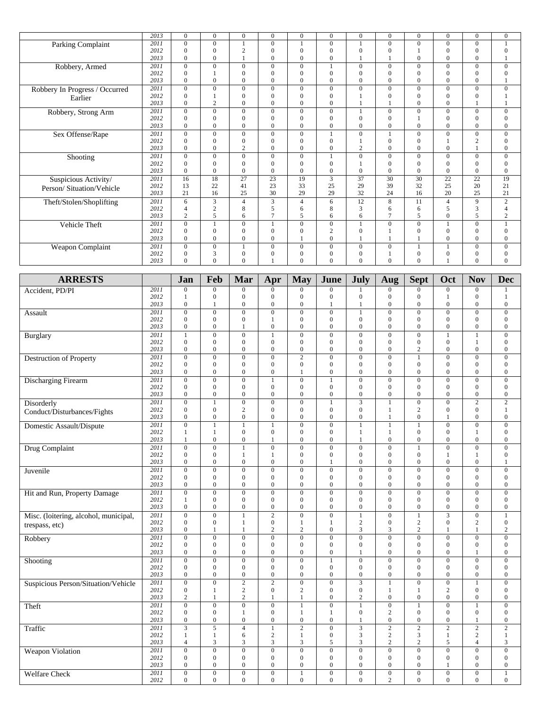|                                | $\overline{2013}$ | $\Omega$       | $\Omega$       | $\Omega$       | $\Omega$       | $\mathbf{0}$   | $\Omega$       | $\Omega$     | $\Omega$       | $\Omega$       | $\Omega$     | $\mathbf{0}$    | $\overline{0}$   |
|--------------------------------|-------------------|----------------|----------------|----------------|----------------|----------------|----------------|--------------|----------------|----------------|--------------|-----------------|------------------|
| Parking Complaint              | 2011              | $\Omega$       | $\mathbf{0}$   |                | $\Omega$       |                | $\mathbf{0}$   |              | $\Omega$       | $\mathbf{0}$   | $\Omega$     | $\mathbf{0}$    |                  |
|                                | 2012              | $\Omega$       | $\Omega$       | $\overline{c}$ | $\Omega$       | $\mathbf{0}$   | $\mathbf{0}$   |              | $\Omega$       |                | $\theta$     | $\Omega$        | $\mathbf{0}$     |
|                                | 2013              | $\Omega$       | $\Omega$       |                | $\theta$       | $\Omega$       | $\Omega$       |              |                | $\Omega$       | $\Omega$     | $\Omega$        |                  |
| Robbery, Armed                 | 2011              | $\Omega$       | $\Omega$       | $\Omega$       | $\Omega$       | $\overline{0}$ |                | $\Omega$     | $\Omega$       | $\Omega$       | $\Omega$     | $\Omega$        | $\Omega$         |
|                                | 2012              | $\Omega$       |                | $\Omega$       | $\Omega$       | $\mathbf{0}$   | $\mathbf{0}$   | $\Omega$     | $\Omega$       | $\overline{0}$ | $\Omega$     | $\Omega$        | $\mathbf{0}$     |
|                                | 2013              | $\Omega$       | $\Omega$       | $\theta$       | $\Omega$       | $\mathbf{0}$   | $\overline{0}$ | $\Omega$     | $\Omega$       | $\overline{0}$ | $\theta$     | $\overline{0}$  |                  |
| Robbery In Progress / Occurred | 2011              | $\Omega$       | $\Omega$       | $\Omega$       | $\Omega$       | $\overline{0}$ | $\mathbf{0}$   | $\Omega$     | $\Omega$       | $\Omega$       | $\Omega$     | $\mathbf{0}$    | $\overline{0}$   |
| Earlier                        | 2012              | $\Omega$       |                | $\mathbf{0}$   | $\Omega$       | $\mathbf{0}$   | $\mathbf{0}$   |              | $\Omega$       | $\overline{0}$ | $\theta$     | $\mathbf{0}$    |                  |
|                                | 2013              | $\Omega$       | $\overline{c}$ | $\theta$       | $\Omega$       | $\theta$       | $\theta$       |              |                | $\Omega$       | $\Omega$     |                 |                  |
| Robbery, Strong Arm            | 2011              | $\Omega$       | $\theta$       | $\Omega$       | $\Omega$       | $\overline{0}$ | $\Omega$       |              | $\Omega$       | $\Omega$       | $\Omega$     | $\Omega$        | $\Omega$         |
|                                | 2012              | $\Omega$       | $\Omega$       | $\mathbf{0}$   | $\theta$       | $\mathbf{0}$   | $\mathbf{0}$   |              | $\Omega$       |                | $\theta$     | $\mathbf{0}$    | $\mathbf{0}$     |
|                                | 2013              | $\Omega$       | $\Omega$       | $\Omega$       | $\theta$       | $\theta$       | $\theta$       | $\Omega$     | $\Omega$       | $\Omega$       | $\Omega$     | $\theta$        | $\mathbf{0}$     |
| Sex Offense/Rape               | 2011              | $\Omega$       | $\Omega$       | $\Omega$       | $\Omega$       | $\mathbf{0}$   |                | $\Omega$     |                | $\Omega$       | $\Omega$     | $\Omega$        | $\mathbf{0}$     |
|                                | 2012              | $\Omega$       | $\Omega$       | $\Omega$       | $\Omega$       | $\mathbf{0}$   | $\mathbf{0}$   |              | $\Omega$       | $\overline{0}$ |              | $\overline{2}$  | $\overline{0}$   |
|                                | 2013              | $\Omega$       | $\Omega$       | $\overline{c}$ | $\Omega$       | $\Omega$       | $\mathbf{0}$   | $\mathbf{2}$ | $\Omega$       | $\Omega$       | $\Omega$     |                 | $\mathbf{0}$     |
| Shooting                       | 2011              | $\Omega$       | $\theta$       | $\Omega$       | $\Omega$       | $\overline{0}$ |                | $\Omega$     | $\Omega$       | $\Omega$       | $\Omega$     | $\Omega$        | $\overline{0}$   |
|                                | 2012              | $\Omega$       | $\Omega$       | $\Omega$       | $\Omega$       | $\mathbf{0}$   | $\mathbf{0}$   |              | $\Omega$       | $\Omega$       | $\Omega$     | $\mathbf{0}$    | $\mathbf{0}$     |
|                                | 2013              | $\Omega$       | $\Omega$       | $\Omega$       | $\Omega$       | $\mathbf{0}$   | $\mathbf{0}$   | $\Omega$     | $\Omega$       | $\overline{0}$ | $\Omega$     | $\mathbf{0}$    | $\overline{0}$   |
| Suspicious Activity/           | 2011              | 16             | 18             | 27             | 23             | 19             | 3              | 37           | 30             | 30             | 22           | $\overline{22}$ | 19               |
| Person/Situation/Vehicle       | 2012              | 13             | 22             | 41             | 23             | 33             | 25             | 29           | 39             | 32             | 25           | 20              | 21               |
|                                | 2013              | 21             | 16             | 25             | 30             | 29             | 29             | 32           | 24             | 16             | 20           | 25              | 21               |
| Theft/Stolen/Shoplifting       | 2011              | 6              | 3              | 4              | 3              | $\overline{4}$ | 6              | 12           | 8              | 11             | 4            | 9               | $\mathbf{2}$     |
|                                | 2012              |                | $\overline{2}$ | 8              | 5              | 6              | 8              | $\mathbf{3}$ | 6              | 6              | 5            | 3               | $\overline{4}$   |
|                                | 2013              | $\overline{2}$ | 5              | 6              | $\overline{1}$ | 5              | 6              | 6            | $\overline{7}$ | 5              | $\Omega$     | 5               | 2                |
| Vehicle Theft                  | 2011              | $\Omega$       |                | $\Omega$       |                | $\mathbf{0}$   | $\mathbf{0}$   |              | $\Omega$       | $\Omega$       |              | $\mathbf{0}$    |                  |
|                                | 2012              | $\Omega$       | $\Omega$       | $\Omega$       | $\theta$       | $\mathbf{0}$   | 2              |              |                | $\Omega$       | $\Omega$     | $\mathbf{0}$    | $\mathbf{0}$     |
|                                | 2013              | $\Omega$       | $\theta$       | $\mathbf{0}$   | $\Omega$       |                | $\overline{0}$ |              |                |                | $\theta$     | $\overline{0}$  | $\boldsymbol{0}$ |
| Weapon Complaint               | 2011              | $\Omega$       | $\Omega$       |                | $\Omega$       | $\mathbf{0}$   | $\mathbf{0}$   | $\Omega$     | $\Omega$       |                |              | $\mathbf{0}$    | $\mathbf{0}$     |
|                                | 2012              | $\Omega$       | 3              | $\mathbf{0}$   | $\Omega$       | $\mathbf{0}$   | $\mathbf{0}$   |              |                | $\overline{0}$ | $\mathbf{0}$ | $\mathbf{0}$    | $\boldsymbol{0}$ |
|                                | 2013              | $\Omega$       | $\Omega$       | $\Omega$       |                | $\Omega$       | $\Omega$       |              | $\Omega$       | $\Omega$       |              | $\Omega$        | $\Omega$         |

| <b>ARRESTS</b>                        |              | Jan                              | Feb                              | Mar                              | Apr                              | <b>May</b>                     | June                             | <b>July</b>                      | Aug                              | <b>Sept</b>                      | Oct                              | <b>Nov</b>                     | <b>Dec</b>                         |
|---------------------------------------|--------------|----------------------------------|----------------------------------|----------------------------------|----------------------------------|--------------------------------|----------------------------------|----------------------------------|----------------------------------|----------------------------------|----------------------------------|--------------------------------|------------------------------------|
| Accident, PD/PI                       | 2011         | $\mathbf{0}$                     | $\mathbf{0}$                     | $\boldsymbol{0}$                 | $\Omega$                         | $\theta$                       | $\overline{0}$                   |                                  | $\mathbf{0}$                     | $\mathbf{0}$                     | $\mathbf{0}$                     | $\overline{0}$                 | 1                                  |
|                                       | 2012         | 1                                | $\boldsymbol{0}$                 | $\boldsymbol{0}$                 | $\overline{0}$                   | $\overline{0}$                 | $\mathbf 0$                      | $\mathbf{0}$                     | $\mathbf{0}$                     | $\boldsymbol{0}$                 | $\mathbf{1}$                     | $\overline{0}$                 | $\mathbf{1}$                       |
|                                       | 2013         | $\boldsymbol{0}$                 | $\mathbf{1}$                     | $\boldsymbol{0}$                 | $\boldsymbol{0}$                 | $\boldsymbol{0}$               | 1                                | $\mathbf{1}$                     | $\boldsymbol{0}$                 | $\boldsymbol{0}$                 | $\boldsymbol{0}$                 | $\boldsymbol{0}$               | $\boldsymbol{0}$                   |
| Assault                               | 2011         | $\overline{0}$                   | $\overline{0}$                   | $\overline{0}$                   | $\overline{0}$                   | $\overline{0}$                 | $\overline{0}$                   | $\mathbf{1}$                     | $\overline{0}$                   | $\overline{0}$                   | $\overline{0}$                   | $\overline{0}$                 | $\overline{0}$                     |
|                                       | 2012         | $\mathbf{0}$                     | $\mathbf{0}$                     | $\mathbf{0}$                     | 1                                | $\boldsymbol{0}$               | $\mathbf{0}$                     | $\mathbf{0}$                     | $\mathbf{0}$                     | $\boldsymbol{0}$                 | $\mathbf{0}$                     | $\mathbf{0}$                   | $\mathbf{0}$                       |
|                                       | 2013         | $\mathbf{0}$                     | $\boldsymbol{0}$                 | $\mathbf{1}$                     | $\boldsymbol{0}$                 | $\mathbf{0}$                   | $\mathbf{0}$                     | $\mathbf{0}$                     | $\boldsymbol{0}$                 | $\boldsymbol{0}$                 | $\overline{0}$                   | $\boldsymbol{0}$               | $\boldsymbol{0}$                   |
| Burglary                              | 2011         | $\mathbf{1}$                     | $\overline{0}$                   | $\overline{0}$                   | $\mathbf{1}$                     | $\overline{0}$                 | $\overline{0}$                   | $\overline{0}$                   | $\overline{0}$                   | $\overline{0}$                   | $\mathbf{1}$                     | $\overline{1}$                 | $\overline{0}$                     |
|                                       | 2012         | $\mathbf{0}$                     | $\mathbf{0}$                     | $\mathbf{0}$                     | $\overline{0}$                   | $\mathbf{0}$                   | $\mathbf{0}$                     | $\mathbf{0}$                     | $\mathbf{0}$                     | $\boldsymbol{0}$                 | $\overline{0}$                   | $\mathbf{1}$                   | $\mathbf{0}$                       |
|                                       | 2013         | $\overline{0}$                   | $\boldsymbol{0}$                 | $\mathbf{0}$                     | $\overline{0}$                   | $\boldsymbol{0}$               | $\mathbf{0}$                     | $\mathbf{0}$                     | $\mathbf{0}$                     | $\mathbf{2}$                     | $\mathbf{0}$                     | $\boldsymbol{0}$               | $\mathbf{0}$                       |
| <b>Destruction of Property</b>        | 2011         | $\overline{0}$                   | $\boldsymbol{0}$                 | $\boldsymbol{0}$                 | $\overline{0}$                   | $\overline{2}$                 | $\mathbf{0}$                     | $\overline{0}$                   | $\boldsymbol{0}$                 | $\mathbf{1}$                     | $\mathbf{0}$                     | $\boldsymbol{0}$               | $\mathbf{0}$                       |
|                                       | 2012<br>2013 | $\mathbf{0}$<br>$\overline{0}$   | $\mathbf{0}$<br>$\mathbf{0}$     | $\mathbf{0}$<br>$\mathbf{0}$     | $\overline{0}$<br>$\overline{0}$ | $\mathbf{0}$<br>$\mathbf{1}$   | $\mathbf{0}$<br>$\mathbf{0}$     | $\mathbf{0}$<br>$\overline{0}$   | $\mathbf{0}$<br>$\mathbf{0}$     | $\mathbf{0}$<br>$\overline{0}$   | $\overline{0}$<br>$\theta$       | $\mathbf{0}$<br>$\overline{0}$ | $\overline{0}$<br>$\overline{0}$   |
|                                       |              |                                  |                                  |                                  |                                  |                                |                                  |                                  |                                  |                                  |                                  |                                |                                    |
| <b>Discharging Firearm</b>            | 2011<br>2012 | $\overline{0}$<br>$\mathbf{0}$   | $\boldsymbol{0}$<br>$\mathbf{0}$ | $\boldsymbol{0}$<br>$\mathbf{0}$ | $\mathbf{1}$<br>$\overline{0}$   | $\overline{0}$<br>$\mathbf{0}$ | $\mathbf{1}$                     | $\overline{0}$<br>$\overline{0}$ | $\boldsymbol{0}$<br>$\mathbf{0}$ | $\boldsymbol{0}$<br>$\mathbf{0}$ | $\overline{0}$<br>$\overline{0}$ | $\overline{0}$<br>$\mathbf{0}$ | $\mathbf{0}$                       |
|                                       | 2013         | $\mathbf{0}$                     | $\boldsymbol{0}$                 | $\boldsymbol{0}$                 | $\mathbf{0}$                     | $\boldsymbol{0}$               | $\mathbf{0}$<br>$\boldsymbol{0}$ | $\overline{0}$                   | $\boldsymbol{0}$                 | $\boldsymbol{0}$                 | $\mathbf{0}$                     | $\mathbf{0}$                   | $\mathbf{0}$<br>$\mathbf{0}$       |
|                                       | 2011         | $\overline{0}$                   | $\mathbf{1}$                     | $\overline{0}$                   | $\overline{0}$                   | $\overline{0}$                 | $\overline{1}$                   | $\overline{\mathbf{3}}$          | $\mathbf{1}$                     | $\overline{0}$                   | $\overline{0}$                   | $\overline{2}$                 | $\overline{2}$                     |
| Disorderly                            | 2012         | $\Omega$                         | $\mathbf{0}$                     | $\overline{c}$                   | $\theta$                         | $\mathbf{0}$                   | $\mathbf{0}$                     | $\Omega$                         | $\mathbf{1}$                     | $\mathbf{2}$                     | $\overline{0}$                   | $\mathbf{0}$                   | $\mathbf{1}$                       |
| Conduct/Disturbances/Fights           | 2013         | $\mathbf{0}$                     | $\mathbf{0}$                     | $\mathbf{0}$                     | $\mathbf{0}$                     | $\mathbf{0}$                   | $\mathbf{0}$                     | $\mathbf{0}$                     | $\mathbf{1}$                     | $\mathbf{0}$                     | $\mathbf{1}$                     | $\overline{0}$                 | $\overline{0}$                     |
| Domestic Assault/Dispute              | 2011         | $\overline{0}$                   | $\mathbf{1}$                     | $\mathbf{1}$                     | $\mathbf{1}$                     | $\overline{0}$                 | $\overline{0}$                   | $\mathbf{1}$                     | $\mathbf{1}$                     | $\mathbf{1}$                     | $\overline{0}$                   | $\overline{0}$                 | $\overline{0}$                     |
|                                       | 2012         | $\mathbf{1}$                     | $\mathbf{1}$                     | $\mathbf{0}$                     | $\mathbf{0}$                     | $\mathbf{0}$                   | $\mathbf{0}$                     | $\mathbf{1}$                     | $\mathbf{1}$                     | $\mathbf{0}$                     | $\overline{0}$                   | $\mathbf{1}$                   | $\boldsymbol{0}$                   |
|                                       | 2013         | $\mathbf{1}$                     | $\mathbf{0}$                     | $\mathbf{0}$                     | $\mathbf{1}$                     | $\mathbf{0}$                   | $\mathbf{0}$                     | $\mathbf{1}$                     | $\mathbf{0}$                     | $\mathbf{0}$                     | $\theta$                         | $\overline{0}$                 | $\overline{0}$                     |
| Drug Complaint                        | 2011         | $\overline{0}$                   | $\overline{0}$                   | $\overline{1}$                   | $\overline{0}$                   | $\overline{0}$                 | $\overline{0}$                   | $\overline{0}$                   | $\overline{0}$                   | $\overline{1}$                   | $\overline{0}$                   | $\overline{0}$                 | $\overline{0}$                     |
|                                       | 2012         | $\boldsymbol{0}$                 | $\boldsymbol{0}$                 | $\mathbf{1}$                     | $\mathbf{1}$                     | $\boldsymbol{0}$               | $\mathbf{0}$                     | $\boldsymbol{0}$                 | $\boldsymbol{0}$                 | $\boldsymbol{0}$                 | $\mathbf{1}$                     | $\mathbf{1}$                   | $\mathbf{0}$                       |
|                                       | 2013         | $\overline{0}$                   | $\mathbf{0}$                     | $\mathbf{0}$                     | $\theta$                         | $\mathbf{0}$                   | 1                                | $\overline{0}$                   | $\mathbf{0}$                     | $\overline{0}$                   | $\theta$                         | $\overline{0}$                 | $\mathbf{1}$                       |
| Juvenile                              | 2011         | $\overline{0}$                   | $\overline{0}$                   | $\overline{0}$                   | $\overline{0}$                   | $\overline{0}$                 | $\overline{0}$                   | $\overline{0}$                   | $\overline{0}$                   | $\overline{0}$                   | $\overline{0}$                   | $\overline{0}$                 | $\overline{0}$                     |
|                                       | 2012         | $\boldsymbol{0}$                 | $\boldsymbol{0}$                 | $\boldsymbol{0}$                 | $\mathbf{0}$                     | $\boldsymbol{0}$               | $\mathbf{0}$                     | $\boldsymbol{0}$                 | $\boldsymbol{0}$                 | $\boldsymbol{0}$                 | $\mathbf{0}$                     | $\boldsymbol{0}$               | $\boldsymbol{0}$                   |
|                                       | 2013         | $\mathbf{0}$                     | $\mathbf{0}$                     | $\mathbf{0}$                     | $\mathbf{0}$                     | $\mathbf{0}$                   | $\mathbf{0}$                     | $\overline{0}$                   | $\mathbf{0}$                     | $\overline{0}$                   | $\theta$                         | $\overline{0}$                 | $\overline{0}$                     |
| Hit and Run, Property Damage          | 2011         | $\overline{0}$                   | $\overline{0}$                   | $\overline{0}$                   | $\overline{0}$                   | $\overline{0}$                 | $\overline{0}$                   | $\overline{0}$                   | $\overline{0}$                   | $\overline{0}$                   | $\overline{0}$                   | $\overline{0}$                 | $\overline{0}$                     |
|                                       | 2012         | $\mathbf{1}$                     | $\boldsymbol{0}$                 | $\boldsymbol{0}$                 | $\mathbf{0}$                     | $\boldsymbol{0}$               | $\mathbf{0}$                     | $\boldsymbol{0}$                 | $\boldsymbol{0}$                 | $\boldsymbol{0}$                 | $\overline{0}$                   | $\boldsymbol{0}$               | $\mathbf{0}$                       |
|                                       | 2013         | $\mathbf{0}$                     | $\mathbf{0}$                     | $\mathbf{0}$                     | $\mathbf{0}$                     | $\mathbf{0}$                   | $\mathbf{0}$                     | $\mathbf{0}$                     | $\mathbf{0}$                     | $\overline{0}$                   | $\mathbf{0}$                     | $\overline{0}$                 | $\mathbf{0}$                       |
| Misc. (loitering, alcohol, municipal, | 2011         | $\overline{0}$                   | $\overline{0}$                   | $\mathbf{1}$                     | $\overline{2}$                   | $\overline{0}$                 | $\overline{0}$                   | $\mathbf{1}$                     | $\overline{0}$                   | $\mathbf{1}$                     | $\overline{\mathbf{3}}$          | $\overline{0}$                 | $\mathbf{1}$                       |
| trespass, etc)                        | 2012<br>2013 | $\boldsymbol{0}$<br>$\mathbf{0}$ | $\boldsymbol{0}$<br>$\mathbf{1}$ | $\mathbf{1}$<br>$\mathbf{1}$     | $\mathbf{0}$<br>$\overline{c}$   | $\mathbf{1}$<br>$\overline{c}$ | $\mathbf{1}$<br>$\mathbf{0}$     | $\mathbf{2}$<br>3                | $\boldsymbol{0}$<br>3            | $\mathbf{2}$<br>$\overline{c}$   | $\overline{0}$<br>$\mathbf{1}$   | $\overline{c}$<br>$\mathbf{1}$ | $\boldsymbol{0}$<br>$\overline{2}$ |
|                                       |              |                                  |                                  |                                  |                                  |                                |                                  |                                  |                                  |                                  |                                  |                                |                                    |
| Robbery                               | 2011<br>2012 | $\mathbf{0}$<br>$\overline{0}$   | $\mathbf{0}$<br>$\boldsymbol{0}$ | $\mathbf{0}$<br>$\mathbf{0}$     | $\overline{0}$<br>$\overline{0}$ | $\mathbf{0}$<br>$\overline{0}$ | $\mathbf{0}$<br>$\mathbf{0}$     | $\mathbf{0}$<br>$\overline{0}$   | $\mathbf{0}$<br>$\mathbf{0}$     | $\mathbf{0}$<br>$\overline{0}$   | $\mathbf{0}$<br>$\overline{0}$   | $\mathbf{0}$<br>$\overline{0}$ | $\overline{0}$<br>$\boldsymbol{0}$ |
|                                       | 2013         | $\mathbf{0}$                     | $\mathbf{0}$                     | $\mathbf{0}$                     | $\overline{0}$                   | $\mathbf{0}$                   | $\mathbf{0}$                     | 1                                | $\mathbf{0}$                     | $\overline{0}$                   | $\theta$                         | $\mathbf{1}$                   | $\overline{0}$                     |
|                                       | 2011         | $\overline{0}$                   | $\overline{0}$                   | $\overline{0}$                   | $\mathbf{0}$                     | $\overline{0}$                 | $\mathbf{1}$                     | $\mathbf{0}$                     | $\overline{0}$                   | $\overline{0}$                   | $\mathbf{0}$                     | $\overline{0}$                 | $\overline{0}$                     |
| Shooting                              | 2012         | $\overline{0}$                   | $\mathbf{0}$                     | $\mathbf{0}$                     | $\overline{0}$                   | $\overline{0}$                 | $\mathbf{0}$                     | $\overline{0}$                   | $\mathbf{0}$                     | $\overline{0}$                   | $\overline{0}$                   | $\overline{0}$                 | $\boldsymbol{0}$                   |
|                                       | 2013         | $\mathbf{0}$                     | $\mathbf{0}$                     | $\boldsymbol{0}$                 | $\mathbf{0}$                     | $\mathbf{0}$                   | $\boldsymbol{0}$                 | $\mathbf{0}$                     | $\mathbf{0}$                     | $\overline{0}$                   | $\mathbf{0}$                     | $\overline{0}$                 | $\overline{0}$                     |
| Suspicious Person/Situation/Vehicle   | 2011         | $\mathbf{0}$                     | $\overline{0}$                   | $\overline{2}$                   | $\overline{2}$                   | $\overline{0}$                 | $\overline{0}$                   |                                  | $\mathbf{1}$                     | $\overline{0}$                   | $\overline{0}$                   | $\mathbf{1}$                   | $\overline{0}$                     |
|                                       | 2012         | $\overline{0}$                   | $\mathbf{1}$                     | $\sqrt{2}$                       | $\theta$                         | $\overline{c}$                 | $\mathbf{0}$                     | $\overline{0}$                   | $\mathbf{1}$                     | $\mathbf{1}$                     | $\overline{c}$                   | $\overline{0}$                 | $\boldsymbol{0}$                   |
|                                       | 2013         | $\mathbf{2}$                     | $\mathbf{1}$                     | $\sqrt{2}$                       | $\mathbf{1}$                     | $\mathbf{1}$                   | $\mathbf{0}$                     | $\mathbf{2}$                     | $\boldsymbol{0}$                 | $\boldsymbol{0}$                 | $\boldsymbol{0}$                 | $\boldsymbol{0}$               | $\mathbf{0}$                       |
| Theft                                 | 2011         | $\mathbf{0}$                     | $\overline{0}$                   | $\overline{0}$                   | $\overline{0}$                   | $\mathbf{1}$                   | $\overline{0}$                   | $\mathbf{1}$                     | $\overline{0}$                   | $\mathbf{1}$                     | $\mathbf{0}$                     | $\mathbf{1}$                   | $\mathbf{0}$                       |
|                                       | 2012         | $\mathbf{0}$                     | $\mathbf{0}$                     | $\mathbf{1}$                     | $\mathbf{0}$                     | $\mathbf{1}$                   | 1                                | $\mathbf{0}$                     | $\sqrt{2}$                       | $\overline{0}$                   | $\mathbf{0}$                     | $\boldsymbol{0}$               | $\boldsymbol{0}$                   |
|                                       | 2013         | $\overline{0}$                   | $\boldsymbol{0}$                 | $\boldsymbol{0}$                 | $\overline{0}$                   | $\boldsymbol{0}$               | $\mathbf{0}$                     | $\mathbf{1}$                     | $\boldsymbol{0}$                 | $\boldsymbol{0}$                 | $\overline{0}$                   | $\mathbf{1}$                   | $\mathbf{0}$                       |
| Traffic                               | 2011         | 3                                | $\overline{5}$                   | $\overline{4}$                   | $\mathbf{1}$                     | $\overline{2}$                 | $\overline{0}$                   | 3                                | $\overline{2}$                   | $\overline{2}$                   | $\overline{2}$                   | $\overline{2}$                 | $\overline{2}$                     |
|                                       | 2012         | $\mathbf{1}$                     | $\mathbf{1}$                     | 6                                | $\overline{2}$                   | $\mathbf{1}$                   | $\mathbf{0}$                     | 3                                | $\overline{c}$                   | 3                                | $\mathbf{1}$                     | $\overline{c}$                 | $\mathbf{1}$                       |
|                                       | 2013         | $\overline{4}$                   | $\overline{3}$                   | 3                                | 3                                | $\mathfrak{Z}$                 | 5                                | 3                                | $\sqrt{2}$                       | $\sqrt{2}$                       | 5                                | $\overline{4}$                 | $\overline{3}$                     |
| <b>Weapon Violation</b>               | 2011         | $\mathbf{0}$                     | $\overline{0}$                   | $\overline{0}$                   | $\overline{0}$                   | $\overline{0}$                 | $\overline{0}$                   | $\mathbf{0}$                     | $\overline{0}$                   | $\overline{0}$                   | $\overline{0}$                   | $\overline{0}$                 | $\overline{0}$                     |
|                                       | 2012         | $\overline{0}$                   | $\mathbf{0}$                     | $\boldsymbol{0}$                 | $\mathbf{0}$                     | $\boldsymbol{0}$               | $\mathbf{0}$                     | $\overline{0}$                   | $\mathbf{0}$                     | $\boldsymbol{0}$                 | $\mathbf{0}$                     | $\boldsymbol{0}$               | $\mathbf{0}$                       |
|                                       | 2013         | $\overline{0}$                   | $\boldsymbol{0}$                 | $\boldsymbol{0}$                 | $\boldsymbol{0}$                 | $\boldsymbol{0}$               | $\mathbf{0}$                     | $\overline{0}$                   | $\boldsymbol{0}$                 | $\boldsymbol{0}$                 | $\mathbf{1}$                     | $\boldsymbol{0}$               | $\mathbf{0}$                       |
| <b>Welfare Check</b>                  | 2011         | $\overline{0}$                   | $\overline{0}$                   | $\overline{0}$                   | $\overline{0}$                   | $\overline{1}$                 | $\overline{0}$                   | $\overline{0}$                   | $\overline{0}$                   | $\overline{0}$                   | $\overline{0}$                   | $\overline{0}$                 | $\mathbf{1}$                       |
|                                       | 2012         | $\overline{0}$                   | $\mathbf{0}$                     | $\mathbf{0}$                     | $\overline{0}$                   | $\overline{0}$                 | $\mathbf{0}$                     | $\mathbf{0}$                     | 2                                | $\mathbf{0}$                     | $\Omega$                         | $\overline{0}$                 | $\overline{0}$                     |